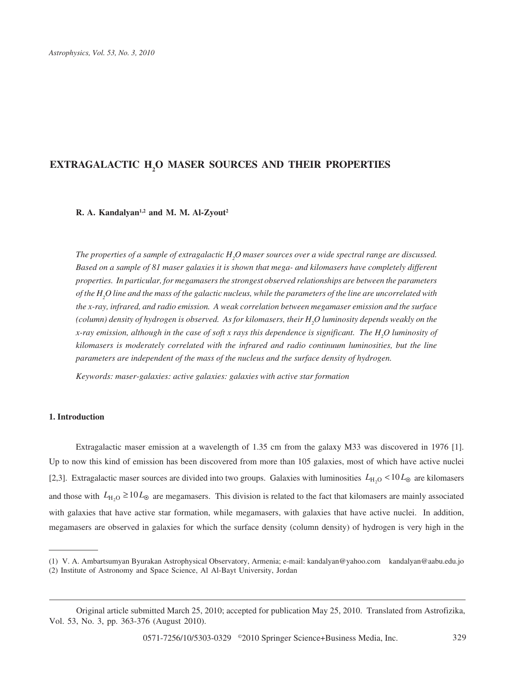# **EXTRAGALACTIC H2 O MASER SOURCES AND THEIR PROPERTIES**

# **R. A. Kandalyan1,2 and M. M. Al-Zyout2**

The properties of a sample of extragalactic  $H_{\rm 2}$ O maser sources over a wide spectral range are discussed. *Based on a sample of 81 maser galaxies it is shown that mega- and kilomasers have completely different properties. In particular, for megamasers the strongest observed relationships are between the parameters of the H2 O line and the mass of the galactic nucleus, while the parameters of the line are uncorrelated with the x-ray, infrared, and radio emission. A weak correlation between megamaser emission and the surface (column) density of hydrogen is observed. As for kilomasers, their H2 O luminosity depends weakly on the x-ray emission, although in the case of soft x rays this dependence is significant. The H2 O luminosity of kilomasers is moderately correlated with the infrared and radio continuum luminosities, but the line parameters are independent of the mass of the nucleus and the surface density of hydrogen.*

*Keywords: maser-galaxies: active galaxies: galaxies with active star formation*

#### **1. Introduction**

Extragalactic maser emission at a wavelength of 1.35 cm from the galaxy M33 was discovered in 1976 [1]. Up to now this kind of emission has been discovered from more than 105 galaxies, most of which have active nuclei [2,3]. Extragalactic maser sources are divided into two groups. Galaxies with luminosities  $L_{H<sub>2</sub>}$  < 10 $L_{\odot}$  are kilomasers and those with  $L_{\text{H}_2,0} \ge 10L_{\odot}$  are megamasers. This division is related to the fact that kilomasers are mainly associated with galaxies that have active star formation, while megamasers, with galaxies that have active nuclei. In addition, megamasers are observed in galaxies for which the surface density (column density) of hydrogen is very high in the

<sup>(1)</sup> V. A. Ambartsumyan Byurakan Astrophysical Observatory, Armenia; e-mail: kandalyan@yahoo.com kandalyan@aabu.edu.jo (2) Institute of Astronomy and Space Science, Al Al-Bayt University, Jordan

Original article submitted March 25, 2010; accepted for publication May 25, 2010. Translated from Astrofizika, Vol. 53, No. 3, pp. 363-376 (August 2010).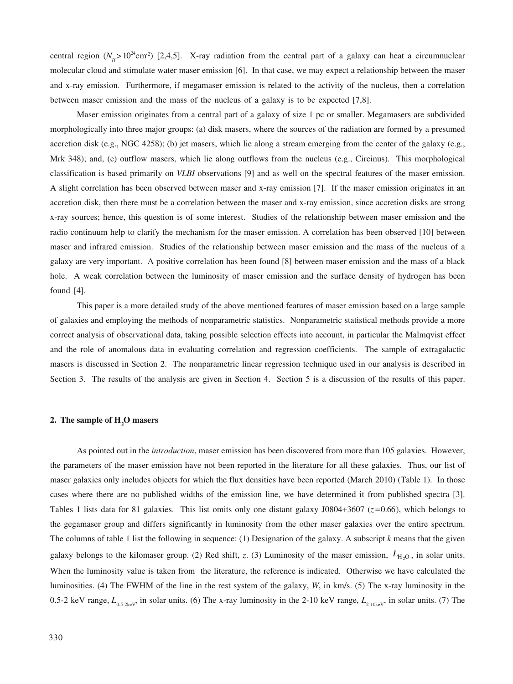central region ( $N_H$ >10<sup>24</sup>cm<sup>2</sup>) [2,4,5]. X-ray radiation from the central part of a galaxy can heat a circumnuclear molecular cloud and stimulate water maser emission [6]. In that case, we may expect a relationship between the maser and x-ray emission. Furthermore, if megamaser emission is related to the activity of the nucleus, then a correlation between maser emission and the mass of the nucleus of a galaxy is to be expected [7,8].

Maser emission originates from a central part of a galaxy of size 1 pc or smaller. Megamasers are subdivided morphologically into three major groups: (a) disk masers, where the sources of the radiation are formed by a presumed accretion disk (e.g., NGC 4258); (b) jet masers, which lie along a stream emerging from the center of the galaxy (e.g., Mrk 348); and, (c) outflow masers, which lie along outflows from the nucleus (e.g., Circinus). This morphological classification is based primarily on *VLBI* observations [9] and as well on the spectral features of the maser emission. A slight correlation has been observed between maser and x-ray emission [7]. If the maser emission originates in an accretion disk, then there must be a correlation between the maser and x-ray emission, since accretion disks are strong x-ray sources; hence, this question is of some interest. Studies of the relationship between maser emission and the radio continuum help to clarify the mechanism for the maser emission. A correlation has been observed [10] between maser and infrared emission. Studies of the relationship between maser emission and the mass of the nucleus of a galaxy are very important. A positive correlation has been found [8] between maser emission and the mass of a black hole. A weak correlation between the luminosity of maser emission and the surface density of hydrogen has been found [4].

This paper is a more detailed study of the above mentioned features of maser emission based on a large sample of galaxies and employing the methods of nonparametric statistics. Nonparametric statistical methods provide a more correct analysis of observational data, taking possible selection effects into account, in particular the Malmqvist effect and the role of anomalous data in evaluating correlation and regression coefficients. The sample of extragalactic masers is discussed in Section 2. The nonparametric linear regression technique used in our analysis is described in Section 3. The results of the analysis are given in Section 4. Section 5 is a discussion of the results of this paper.

# **2. The sample of H2 O masers**

As pointed out in the *introduction*, maser emission has been discovered from more than 105 galaxies. However, the parameters of the maser emission have not been reported in the literature for all these galaxies. Thus, our list of maser galaxies only includes objects for which the flux densities have been reported (March 2010) (Table 1). In those cases where there are no published widths of the emission line, we have determined it from published spectra [3]. Tables 1 lists data for 81 galaxies. This list omits only one distant galaxy  $J0804+3607$  ( $z=0.66$ ), which belongs to the gegamaser group and differs significantly in luminosity from the other maser galaxies over the entire spectrum. The columns of table 1 list the following in sequence: (1) Designation of the galaxy. A subscript *k* means that the given galaxy belongs to the kilomaser group. (2) Red shift, z. (3) Luminosity of the maser emission,  $L_{\text{H}_2\text{O}}$ , in solar units. When the luminosity value is taken from the literature, the reference is indicated. Otherwise we have calculated the luminosities. (4) The FWHM of the line in the rest system of the galaxy, *W*, in km/s. (5) The x-ray luminosity in the 0.5-2 keV range,  $L_{0.5-2k}$ , in solar units. (6) The x-ray luminosity in the 2-10 keV range,  $L_{2.10k}$ , in solar units. (7) The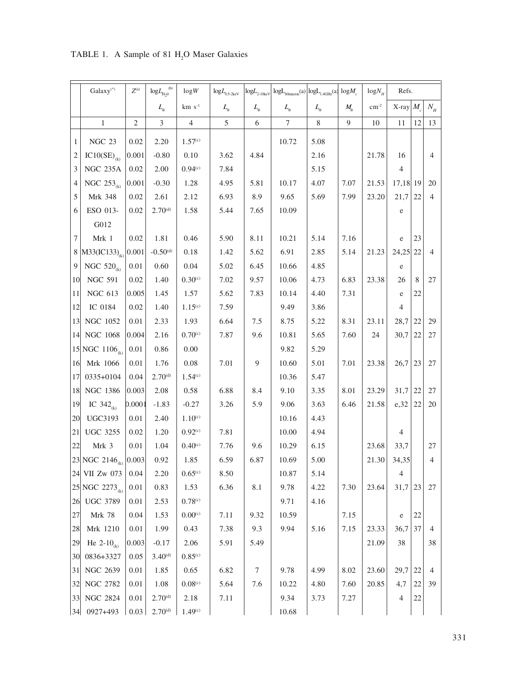|                  | $Galaxy(*)$                           | $Z^{(a)}$      | ${\rm log}L_{\rm H_20}^{\rm (b)}$ | log W               | ${\rm log}L_{\rm 0.5\text{-}2keV}$ | $\log\!L_{\rm 2\text{-}10keV}$ | $\log L_{\text{60micron}}(a) \log L_{1.4 \text{GHz}}(a) \log M_c$ |             |             | $log N_{\mu}$ | Refs.          |    |                |
|------------------|---------------------------------------|----------------|-----------------------------------|---------------------|------------------------------------|--------------------------------|-------------------------------------------------------------------|-------------|-------------|---------------|----------------|----|----------------|
|                  |                                       |                | $L_{\circ}$                       | $km s-1$            | $L_{\circ}$                        | $L_{\circ}$                    | $L_{\circ}$                                                       | $L_{\circ}$ | $M_{\circ}$ | $\rm cm^{-2}$ | X-ray $M$      |    | $N_{_H}$       |
|                  | $\mathbf{1}$                          | $\mathfrak{2}$ | 3                                 | $\overline{4}$      | $\mathfrak s$                      | 6                              | $\overline{7}$                                                    | $\,$ 8 $\,$ | 9           | 10            | 11             | 12 | 13             |
| 1                | NGC 23                                | 0.02           | 2.20                              | 1.57 <sup>(c)</sup> |                                    |                                | 10.72                                                             | 5.08        |             |               |                |    |                |
| 2                | $IC10(SE)$ <sub>(k)</sub>             | 0.001          | $-0.80$                           | 0.10                | 3.62                               | 4.84                           |                                                                   | 2.16        |             | 21.78         | 16             |    | 4              |
| 3                | <b>NGC 235A</b>                       | 0.02           | 2.00                              | 0.94 <sup>(c)</sup> | 7.84                               |                                |                                                                   | 5.15        |             |               | 4              |    |                |
| 4                | NGC $253_{(k)}$                       | 0.001          | $-0.30$                           | 1.28                | 4.95                               | 5.81                           | 10.17                                                             | 4.07        | 7.07        | 21.53         | $17,18$ 19     |    | 20             |
| 5                | Mrk 348                               | 0.02           | 2.61                              | 2.12                | 6.93                               | 8.9                            | 9.65                                                              | 5.69        | 7.99        | 23.20         | 21,7           | 22 | $\overline{4}$ |
| 6                | ESO 013-                              | 0.02           | $2.70^{(d)}$                      | 1.58                | 5.44                               | 7.65                           | 10.09                                                             |             |             |               | e              |    |                |
|                  | G012                                  |                |                                   |                     |                                    |                                |                                                                   |             |             |               |                |    |                |
| 7                | Mrk 1                                 | 0.02           | 1.81                              | 0.46                | 5.90                               | 8.11                           | 10.21                                                             | 5.14        | 7.16        |               | e              | 23 |                |
|                  | 8   M33(IC133) <sub>(k)</sub>   0.001 |                | $-0.50^{(d)}$                     | 0.18                | 1.42                               | 5.62                           | 6.91                                                              | 2.85        | 5.14        | 21.23         | $24,25$ 22     |    | $\overline{4}$ |
| $\boldsymbol{9}$ | NGC $520_{(k)}$                       | 0.01           | 0.60                              | 0.04                | 5.02                               | 6.45                           | 10.66                                                             | 4.85        |             |               | e              |    |                |
| 10               | <b>NGC 591</b>                        | 0.02           | 1.40                              | $0.30^{(c)}$        | 7.02                               | 9.57                           | 10.06                                                             | 4.73        | 6.83        | 23.38         | 26             | 8  | 27             |
| 11               | <b>NGC 613</b>                        | 0.005          | 1.45                              | 1.57                | 5.62                               | 7.83                           | 10.14                                                             | 4.40        | 7.31        |               | e              | 22 |                |
| 12               | IC 0184                               | 0.02           | 1.40                              | 1.15 <sup>(c)</sup> | 7.59                               |                                | 9.49                                                              | 3.86        |             |               | $\overline{4}$ |    |                |
| 13               | NGC 1052                              | 0.01           | 2.33                              | 1.93                | 6.64                               | 7.5                            | 8.75                                                              | 5.22        | 8.31        | 23.11         | 28,7           | 22 | 29             |
| 14               | NGC 1068                              | 0.004          | 2.16                              | 0.70 <sup>(c)</sup> | 7.87                               | 9.6                            | 10.81                                                             | 5.65        | 7.60        | 24            | 30,7           | 22 | 27             |
|                  | 15 NGC 1106 <sub>(k)</sub>            | $0.01\,$       | 0.86                              | 0.00                |                                    |                                | 9.82                                                              | 5.29        |             |               |                |    |                |
| 16               | Mrk 1066                              | 0.01           | 1.76                              | 0.08                | 7.01                               | 9                              | 10.60                                                             | 5.01        | 7.01        | 23.38         | 26,7           | 23 | 27             |
| 17               | 0335+0104                             | 0.04           | $2.70^{(d)}$                      | 1.54 <sup>(c)</sup> |                                    |                                | 10.36                                                             | 5.47        |             |               |                |    |                |
| 18               | NGC 1386                              | 0.003          | 2.08                              | 0.58                | 6.88                               | 8.4                            | 9.10                                                              | 3.35        | 8.01        | 23.29         | 31,7           | 22 | 27             |
| 19               | IC $342_{(k)}$                        | 0.0001         | $-1.83$                           | $-0.27$             | 3.26                               | 5.9                            | 9.06                                                              | 3.63        | 6.46        | 21.58         | e,32           | 22 | 20             |
| 20               | <b>UGC3193</b>                        | 0.01           | 2.40                              | $1.10^{c}$          |                                    |                                | 10.16                                                             | 4.43        |             |               |                |    |                |
| 21               | <b>UGC 3255</b>                       | 0.02           | 1.20                              | 0.92 <sup>(c)</sup> | 7.81                               |                                | 10.00                                                             | 4.94        |             |               | $\overline{4}$ |    |                |
| 22               | Mrk 3                                 | 0.01           | 1.04                              | $0.40^{(c)}$        | 7.76                               | 9.6                            | 10.29                                                             | 6.15        |             | 23.68         | 33,7           |    | 27             |
|                  | 23 NGC 2146 <sub>(k)</sub> 0.003      |                | 0.92                              | 1.85                | 6.59                               | 6.87                           | 10.69                                                             | 5.00        |             | 21.30         | 34,35          |    | $\overline{4}$ |
| 24               | <b>VII Zw 073</b>                     | 0.04           | 2.20                              | 0.65 <sup>(c)</sup> | 8.50                               |                                | 10.87                                                             | 5.14        |             |               | 4              |    |                |
|                  | $25 NGC 2273_{(k)}$                   | $0.01\,$       | 0.83                              | 1.53                | 6.36                               | 8.1                            | 9.78                                                              | 4.22        | 7.30        | 23.64         | 31,7           | 23 | 27             |
| 26               | <b>UGC 3789</b>                       | 0.01           | 2.53                              | 0.78 <sup>(c)</sup> |                                    |                                | 9.71                                                              | 4.16        |             |               |                |    |                |
| 27               | <b>Mrk 78</b>                         | 0.04           | 1.53                              | 0.00 <sup>(c)</sup> | 7.11                               | 9.32                           | 10.59                                                             |             | 7.15        |               | e              | 22 |                |
| 28               | Mrk 1210                              | 0.01           | 1.99                              | 0.43                | 7.38                               | 9.3                            | 9.94                                                              | 5.16        | 7.15        | 23.33         | 36,7           | 37 | 4              |
| 29               | He 2-10 <sub>(k)</sub>                | 0.003          | $-0.17$                           | 2.06                | 5.91                               | 5.49                           |                                                                   |             |             | 21.09         | 38             |    | 38             |
| 30               | 0836+3327                             | 0.05           | $3.40^{(d)}$                      | 0.85 <sup>(c)</sup> |                                    |                                |                                                                   |             |             |               |                |    |                |
| 31               | <b>NGC 2639</b>                       | 0.01           | 1.85                              | 0.65                | 6.82                               | 7                              | 9.78                                                              | 4.99        | 8.02        | 23.60         | 29,7           | 22 | 4              |
| 32               | NGC 2782                              | 0.01           | 1.08                              | $0.08^\mathrm{(c)}$ | 5.64                               | 7.6                            | 10.22                                                             | 4.80        | 7.60        | 20.85         | 4,7            | 22 | 39             |
| 33               | NGC 2824                              | 0.01           | $2.70^{(d)}$                      | 2.18                | 7.11                               |                                | 9.34                                                              | 3.73        | 7.27        |               | $\overline{4}$ | 22 |                |
|                  | $ 34 $ 0927+493                       | 0.03           | $2.70^{(d)}$                      | 1.49 <sup>(c)</sup> |                                    |                                | 10.68                                                             |             |             |               |                |    |                |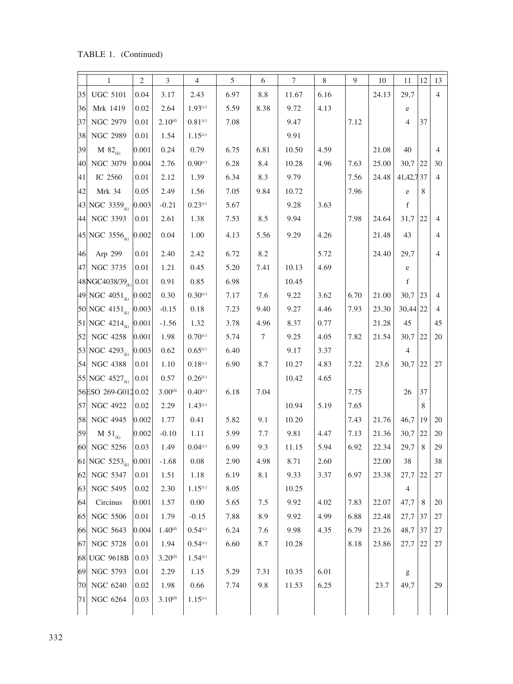TABLE 1. (Continued)

|               | 1                                                              | 2                  | 3            | $\overline{4}$                       | 5    | 6      | 7     | 8    | 9    | 10    | 11             | 12            | 13             |
|---------------|----------------------------------------------------------------|--------------------|--------------|--------------------------------------|------|--------|-------|------|------|-------|----------------|---------------|----------------|
| 35            | <b>UGC 5101</b>                                                | 0.04               | 3.17         | 2.43                                 | 6.97 | 8.8    | 11.67 | 6.16 |      | 24.13 | 29,7           |               | $\overline{4}$ |
| 36            | Mrk 1419                                                       | 0.02               | 2.64         | 1.93 <sup>(c)</sup>                  | 5.59 | 8.38   | 9.72  | 4.13 |      |       | e              |               |                |
| 37            | NGC 2979                                                       | 0.01               | $2.10^{(d)}$ | $0.81^\mathrm{(c)}$                  | 7.08 |        | 9.47  |      | 7.12 |       | $\overline{4}$ | 37            |                |
| 38            | <b>NGC 2989</b>                                                | 0.01               | 1.54         | $1.15^{\scriptscriptstyle{\rm (c)}}$ |      |        | 9.91  |      |      |       |                |               |                |
| 39            | <b>M</b> $82_{(k)}$                                            | 0.001              | 0.24         | 0.79                                 | 6.75 | 6.81   | 10.50 | 4.59 |      | 21.08 | 40             |               | $\overline{4}$ |
| <sup>40</sup> | NGC 3079                                                       | 0.004              | 2.76         | 0.90 <sup>(c)</sup>                  | 6.28 | 8.4    | 10.28 | 4.96 | 7.63 | 25.00 | $30,7$ 22      |               | 30             |
| 41            | IC 2560                                                        | 0.01               | 2.12         | 1.39                                 | 6.34 | 8.3    | 9.79  |      | 7.56 | 24.48 | 41, 42, 737    |               | $\overline{4}$ |
| 42            | Mrk 34                                                         | 0.05               | 2.49         | 1.56                                 | 7.05 | 9.84   | 10.72 |      | 7.96 |       | e              | 8             |                |
|               | $43$ NGC 3359 <sub><sup>(k)</sup></sub>                        | 0.003              | $-0.21$      | $0.23^\mathrm{(c)}$                  | 5.67 |        | 9.28  | 3.63 |      |       | f              |               |                |
|               | 44 NGC 3393                                                    | $\vert 0.01 \vert$ | 2.61         | 1.38                                 | 7.53 | 8.5    | 9.94  |      | 7.98 | 24.64 | 31,7           | 22            | $\overline{4}$ |
|               | $ 45 $ NGC 3556 <sub>(k)</sub> $ 0.002 $                       |                    | 0.04         | 1.00                                 | 4.13 | 5.56   | 9.29  | 4.26 |      | 21.48 | 43             |               | $\overline{4}$ |
| 46            | Arp 299                                                        | 0.01               | 2.40         | 2.42                                 | 6.72 | 8.2    |       | 5.72 |      | 24.40 | 29,7           |               | $\overline{4}$ |
|               | 47 NGC 3735                                                    | 0.01               | 1.21         | 0.45                                 | 5.20 | 7.41   | 10.13 | 4.69 |      |       | e              |               |                |
|               | $ 48\text{NGC}4038/39_{\text{\tiny (k)}} 0.01$                 |                    | 0.91         | 0.85                                 | 6.98 |        | 10.45 |      |      |       | f              |               |                |
|               | $ 49 $ NGC 4051 <sub>(k)</sub> 0.002                           |                    | 0.30         | $0.30^{(c)}$                         | 7.17 | 7.6    | 9.22  | 3.62 | 6.70 | 21.00 | $30,7$  23     |               | $\overline{4}$ |
|               | $\left 50\right $ NGC 4151 <sub>(k)</sub> $\left 0.003\right $ |                    | $-0.15$      | 0.18                                 | 7.23 | 9.40   | 9.27  | 4.46 | 7.93 | 23.30 | $30,44$   22   |               | $\overline{4}$ |
|               | $51 NGC 4214_{(k)}  0.001 $                                    |                    | $-1.56$      | 1.32                                 | 3.78 | 4.96   | 8.37  | 0.77 |      | 21.28 | 45             |               | 45             |
|               | 52 NGC 4258                                                    | 0.001              | 1.98         | 0.70 <sup>(c)</sup>                  | 5.74 | $\tau$ | 9.25  | 4.05 | 7.82 | 21.54 | 30,7           | 22            | 20             |
|               | $53 NGC 4293_{(k)}  0.003 $                                    |                    | 0.62         | 0.65 <sup>(c)</sup>                  | 6.40 |        | 9.17  | 3.37 |      |       | $\overline{4}$ |               |                |
|               | 54 NGC 4388                                                    | $\vert 0.01 \vert$ | 1.10         | $0.18^{(c)}$                         | 6.90 | 8.7    | 10.27 | 4.83 | 7.22 | 23.6  | $30,7$  22     |               | 27             |
|               | $55 NGC 4527_{\text{\tiny (k)}} 0.01$                          |                    | 0.57         | 0.26 <sup>(c)</sup>                  |      |        | 10.42 | 4.65 |      |       |                |               |                |
|               | 56ESO 269-G012 0.02                                            |                    | $3.00^{(d)}$ | $0.40^{(c)}$                         | 6.18 | 7.04   |       |      | 7.75 |       | 26             | 37            |                |
|               | 57 NGC 4922                                                    | 0.02               | 2.29         | 1.43 <sup>(c)</sup>                  |      |        | 10.94 | 5.19 | 7.65 |       |                | 8             |                |
|               | 58 NGC 4945                                                    | 0.002              | 1.77         | 0.41                                 | 5.82 | 9.1    | 10.20 |      | 7.43 | 21.76 | 46,7           | <sup>19</sup> | 20             |
| 59            | $M 51_{(k)}$                                                   | 0.002              | $-0.10$      | 1.11                                 | 5.99 | 7.7    | 9.81  | 4.47 | 7.13 | 21.36 | 30,7           | 22            | 20             |
|               | 60 NGC 5256                                                    | $\vert 0.03 \vert$ | 1.49         | 0.04 <sup>(c)</sup>                  | 6.99 | 9.3    | 11.15 | 5.94 | 6.92 | 22.34 | 29,7           | 8             | 29             |
|               | $ 61 $ NGC 5253 <sub>(k)</sub>                                 | 0.001              | $-1.68$      | $0.08\,$                             | 2.90 | 4.98   | 8.71  | 2.60 |      | 22.00 | 38             |               | 38             |
| 62            | <b>NGC 5347</b>                                                | $0.01\,$           | 1.51         | 1.18                                 | 6.19 | 8.1    | 9.33  | 3.37 | 6.97 | 23.38 | 27,7           | 22            | 27             |
| 63            | NGC 5495                                                       | 0.02               | 2.30         | 1.15 <sup>(c)</sup>                  | 8.05 |        | 10.25 |      |      |       | $\overline{4}$ |               |                |
| 64            | Circinus                                                       | 0.001              | 1.57         | 0.00                                 | 5.65 | 7.5    | 9.92  | 4.02 | 7.83 | 22.07 | 47,7           | 8             | 20             |
| 65            | <b>NGC 5506</b>                                                | $0.01\,$           | 1.79         | $-0.15$                              | 7.88 | 8.9    | 9.92  | 4.99 | 6.88 | 22.48 | 27,7           | 37            | 27             |
| 661           | NGC 5643                                                       | 0.004              | $1.40^{(d)}$ | 0.54 <sup>(c)</sup>                  | 6.24 | 7.6    | 9.98  | 4.35 | 6.79 | 23.26 | 48,7           | 37            | 27             |
| 67            | <b>NGC 5728</b>                                                | 0.01               | 1.94         | 0.54 <sup>(c)</sup>                  | 6.60 | 8.7    | 10.28 |      | 8.18 | 23.86 | 27,7           | 22            | 27             |
|               | 68 UGC 9618B                                                   | 0.03               | $3.20^{(d)}$ | 1.54 <sup>(c)</sup>                  |      |        |       |      |      |       |                |               |                |
| 69            | NGC 5793                                                       | 0.01               | 2.29         | 1.15                                 | 5.29 | 7.31   | 10.35 | 6.01 |      |       | g              |               |                |
| 70            | NGC 6240                                                       | 0.02               | 1.98         | 0.66                                 | 7.74 | 9.8    | 11.53 | 6.25 |      | 23.7  | 49,7           |               | 29             |
| 71            | NGC 6264                                                       | 0.03               | $3.10^{(d)}$ | 1.15 <sup>(c)</sup>                  |      |        |       |      |      |       |                |               |                |
|               |                                                                |                    |              |                                      |      |        |       |      |      |       |                |               |                |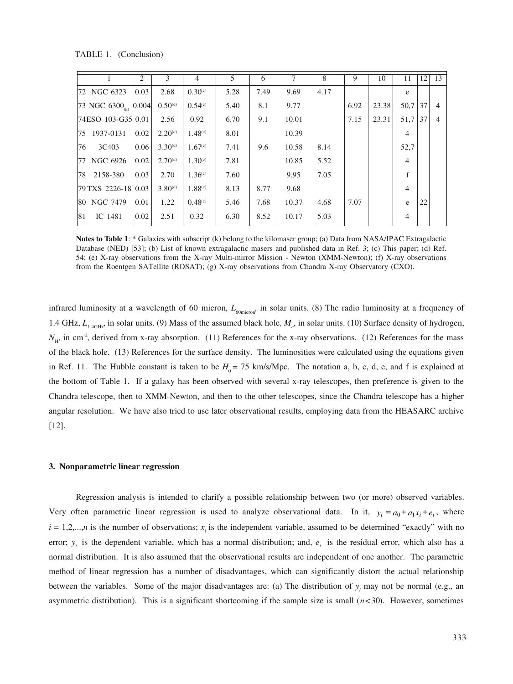TABLE 1. (Conclusion)

|    |                                      | 2    | 3            | $\overline{4}$      | 5.   | 6    |       | 8    | 9    | 10    | 11             | 12 | 13 |
|----|--------------------------------------|------|--------------|---------------------|------|------|-------|------|------|-------|----------------|----|----|
| 72 | NGC 6323                             | 0.03 | 2.68         | 0.30 <sup>(c)</sup> | 5.28 | 7.49 | 9.69  | 4.17 |      |       | e              |    |    |
|    | 73 NGC 6300 <sub>(k)</sub> $ 0.004 $ |      | $0.50^{(d)}$ | 0.54 <sup>(c)</sup> | 5.40 | 8.1  | 9.77  |      | 6.92 | 23.38 | 50.7           | 37 |    |
|    | 74 ESO 103-G35 0.01                  |      | 2.56         | 0.92                | 6.70 | 9.1  | 10.01 |      | 7.15 | 23.31 | 51,7           | 37 |    |
| 75 | 1937-0131                            | 0.02 | $2.20^{(d)}$ | 1.48 <sup>(c)</sup> | 8.01 |      | 10.39 |      |      |       | $\overline{4}$ |    |    |
| 76 | 3C403                                | 0.06 | $3.30^{(d)}$ | 1.67 <sup>(c)</sup> | 7.41 | 9.6  | 10.58 | 8.14 |      |       | 52,7           |    |    |
| 77 | NGC 6926                             | 0.02 | $2.70^{(d)}$ | 1.30 <sup>(c)</sup> | 7.81 |      | 10.85 | 5.52 |      |       | $\overline{4}$ |    |    |
| 78 | 2158-380                             | 0.03 | 2.70         | 1.36 <sup>(c)</sup> | 7.60 |      | 9.95  | 7.05 |      |       | f              |    |    |
|    | 79 TXS 2226-18 0.03                  |      | $3.80^{(d)}$ | 1.88 <sup>(c)</sup> | 8.13 | 8.77 | 9.68  |      |      |       | $\overline{4}$ |    |    |
|    | 80 NGC 7479                          | 0.01 | 1.22         | 0.48 <sup>(c)</sup> | 5.46 | 7.68 | 10.37 | 4.68 | 7.07 |       | e              | 22 |    |
| 81 | IC 1481                              | 0.02 | 2.51         | 0.32                | 6.30 | 8.52 | 10.17 | 5.03 |      |       | $\overline{4}$ |    |    |

**Notes to Table 1**: \* Galaxies with subscript (k) belong to the kilomaser group; (a) Data from NASA/IPAC Extragalactic Database (NED) [53]; (b) List of known extragalactic masers and published data in Ref. 3; (c) This paper; (d) Ref. 54; (e) X-ray observations from the X-ray Multi-mirror Mission - Newton (XMM-Newton); (f) X-ray observations from the Roentgen SATellite (ROSAT); (g) X-ray observations from Chandra X-ray Observatory (CXO).

infrared luminosity at a wavelength of 60 micron, *L*<sub>60micron</sub>, in solar units. (8) The radio luminosity at a frequency of 1.4 GHz,  $L_{1.4\text{GHz}}$ , in solar units. (9) Mass of the assumed black hole,  $M_c$ , in solar units. (10) Surface density of hydrogen,  $N<sub>H</sub>$ , in cm<sup>-2</sup>, derived from x-ray absorption. (11) References for the x-ray observations. (12) References for the mass of the black hole. (13) References for the surface density. The luminosities were calculated using the equations given in Ref. 11. The Hubble constant is taken to be  $H_0 = 75$  km/s/Mpc. The notation a, b, c, d, e, and f is explained at the bottom of Table 1. If a galaxy has been observed with several x-ray telescopes, then preference is given to the Chandra telescope, then to XMM-Newton, and then to the other telescopes, since the Chandra telescope has a higher angular resolution. We have also tried to use later observational results, employing data from the HEASARC archive [12].

#### **3. Nonparametric linear regression**

Regression analysis is intended to clarify a possible relationship between two (or more) observed variables. Very often parametric linear regression is used to analyze observational data. In it,  $y_i = a_0 + a_1 x_i + e_i$ , where  $i = 1, 2, \dots, n$  is the number of observations;  $x_i$  is the independent variable, assumed to be determined "exactly" with no error;  $y_i$  is the dependent variable, which has a normal distribution; and,  $e_i$  is the residual error, which also has a normal distribution. It is also assumed that the observational results are independent of one another. The parametric method of linear regression has a number of disadvantages, which can significantly distort the actual relationship between the variables. Some of the major disadvantages are: (a) The distribution of  $y_i$  may not be normal (e.g., an asymmetric distribution). This is a significant shortcoming if the sample size is small  $(n<30)$ . However, sometimes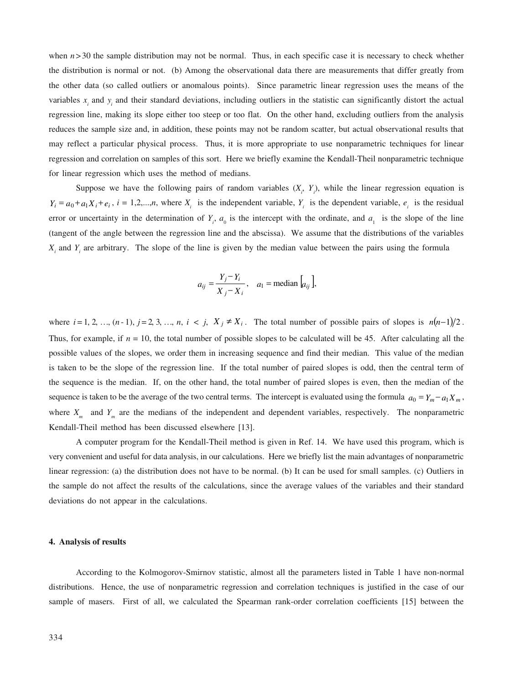when  $n > 30$  the sample distribution may not be normal. Thus, in each specific case it is necessary to check whether the distribution is normal or not. (b) Among the observational data there are measurements that differ greatly from the other data (so called outliers or anomalous points). Since parametric linear regression uses the means of the variables  $x_i$  and  $y_i$  and their standard deviations, including outliers in the statistic can significantly distort the actual regression line, making its slope either too steep or too flat. On the other hand, excluding outliers from the analysis reduces the sample size and, in addition, these points may not be random scatter, but actual observational results that may reflect a particular physical process. Thus, it is more appropriate to use nonparametric techniques for linear regression and correlation on samples of this sort. Here we briefly examine the Kendall-Theil nonparametric technique for linear regression which uses the method of medians.

Suppose we have the following pairs of random variables  $(X_i, Y_i)$ , while the linear regression equation is  $Y_i = a_0 + a_1 X_i + e_i$ ,  $i = 1, 2, \dots, n$ , where  $X_i$  is the independent variable,  $Y_i$  is the dependent variable,  $e_i$  is the residual error or uncertainty in the determination of  $Y_i$ ,  $a_0$  is the intercept with the ordinate, and  $a_1$  is the slope of the line (tangent of the angle between the regression line and the abscissa). We assume that the distributions of the variables  $X_i$  and  $Y_i$  are arbitrary. The slope of the line is given by the median value between the pairs using the formula

$$
a_{ij} = \frac{Y_j - Y_i}{X_j - X_i}, \quad a_1 = \text{median} \left[ a_{ij} \right],
$$

where  $i = 1, 2, ..., (n-1), j = 2, 3, ..., n, i \lt j, X_j \neq X_i$ . The total number of possible pairs of slopes is  $n(n-1)/2$ . Thus, for example, if  $n = 10$ , the total number of possible slopes to be calculated will be 45. After calculating all the possible values of the slopes, we order them in increasing sequence and find their median. This value of the median is taken to be the slope of the regression line. If the total number of paired slopes is odd, then the central term of the sequence is the median. If, on the other hand, the total number of paired slopes is even, then the median of the sequence is taken to be the average of the two central terms. The intercept is evaluated using the formula  $a_0 = Y_m - a_1 X_m$ , where  $X_m$  and  $Y_m$  are the medians of the independent and dependent variables, respectively. The nonparametric Kendall-Theil method has been discussed elsewhere [13].

A computer program for the Kendall-Theil method is given in Ref. 14. We have used this program, which is very convenient and useful for data analysis, in our calculations. Here we briefly list the main advantages of nonparametric linear regression: (a) the distribution does not have to be normal. (b) It can be used for small samples. (c) Outliers in the sample do not affect the results of the calculations, since the average values of the variables and their standard deviations do not appear in the calculations.

#### **4. Analysis of results**

According to the Kolmogorov-Smirnov statistic, almost all the parameters listed in Table 1 have non-normal distributions. Hence, the use of nonparametric regression and correlation techniques is justified in the case of our sample of masers. First of all, we calculated the Spearman rank-order correlation coefficients [15] between the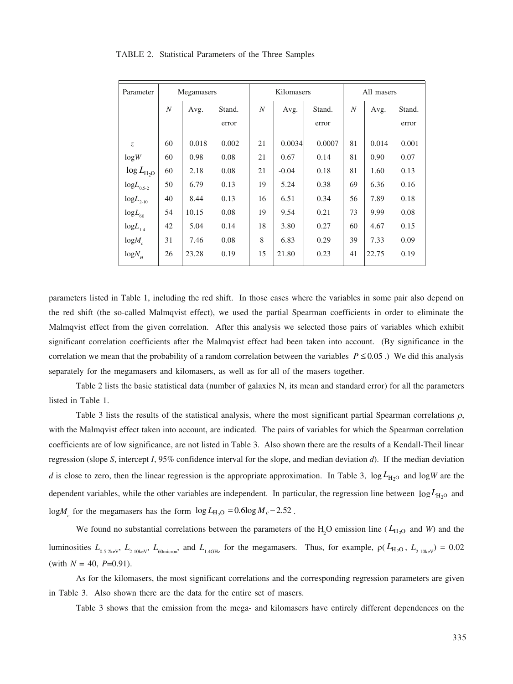| Parameter                  | Megamasers |       |        |    | Kilomasers |        | All masers       |       |        |  |
|----------------------------|------------|-------|--------|----|------------|--------|------------------|-------|--------|--|
|                            | N          | Avg.  | Stand. | N  | Avg.       | Stand. | $\boldsymbol{N}$ | Avg.  | Stand. |  |
|                            |            |       | error  |    |            | error  |                  |       | error  |  |
| $Z_{\rm c}$                | 60         | 0.018 | 0.002  | 21 | 0.0034     | 0.0007 | 81               | 0.014 | 0.001  |  |
| log W                      | 60         | 0.98  | 0.08   | 21 | 0.67       | 0.14   | 81               | 0.90  | 0.07   |  |
| $\log L_{\text{H}_2O}$     | 60         | 2.18  | 0.08   | 21 | $-0.04$    | 0.18   | 81               | 1.60  | 0.13   |  |
| $logL_{0.5-2}$             | 50         | 6.79  | 0.13   | 19 | 5.24       | 0.38   | 69               | 6.36  | 0.16   |  |
| ${\rm log}L_{_{\rm 2-10}}$ | 40         | 8.44  | 0.13   | 16 | 6.51       | 0.34   | 56               | 7.89  | 0.18   |  |
| $logL_{60}$                | 54         | 10.15 | 0.08   | 19 | 9.54       | 0.21   | 73               | 9.99  | 0.08   |  |
| ${\rm log}L_{_{1.4}}$      | 42         | 5.04  | 0.14   | 18 | 3.80       | 0.27   | 60               | 4.67  | 0.15   |  |
| $logM_{c}$                 | 31         | 7.46  | 0.08   | 8  | 6.83       | 0.29   | 39               | 7.33  | 0.09   |  |
| $log N_{\mu}$              | 26         | 23.28 | 0.19   | 15 | 21.80      | 0.23   | 41               | 22.75 | 0.19   |  |

#### TABLE 2. Statistical Parameters of the Three Samples

parameters listed in Table 1, including the red shift. In those cases where the variables in some pair also depend on the red shift (the so-called Malmqvist effect), we used the partial Spearman coefficients in order to eliminate the Malmqvist effect from the given correlation. After this analysis we selected those pairs of variables which exhibit significant correlation coefficients after the Malmqvist effect had been taken into account. (By significance in the correlation we mean that the probability of a random correlation between the variables  $P \le 0.05$ .) We did this analysis separately for the megamasers and kilomasers, as well as for all of the masers together.

Table 2 lists the basic statistical data (number of galaxies N, its mean and standard error) for all the parameters listed in Table 1.

Table 3 lists the results of the statistical analysis, where the most significant partial Spearman correlations  $\rho$ , with the Malmqvist effect taken into account, are indicated. The pairs of variables for which the Spearman correlation coefficients are of low significance, are not listed in Table 3. Also shown there are the results of a Kendall-Theil linear regression (slope *S*, intercept *I*, 95% confidence interval for the slope, and median deviation *d*). If the median deviation *d* is close to zero, then the linear regression is the appropriate approximation. In Table 3,  $\log L_{\text{H}_2\text{O}}$  and  $\log W$  are the dependent variables, while the other variables are independent. In particular, the regression line between  $\log L_{\text{H}_2\text{O}}$  and  $\log M_c$  for the megamasers has the form  $\log L_{\text{H}_2\text{O}} = 0.6 \log M_c - 2.52$ .

We found no substantial correlations between the parameters of the  $H_2O$  emission line ( $L_{H_2O}$  and *W*) and the luminosities  $L_{0.5-2\text{keV}}$ ,  $L_{2-10\text{keV}}$ ,  $L_{60\text{micron}}$ , and  $L_{1.4\text{GHz}}$  for the megamasers. Thus, for example,  $\rho(L_{H_2O}, L_{2-10\text{keV}}) = 0.02$ (with  $N = 40$ ,  $P=0.91$ ).

As for the kilomasers, the most significant correlations and the corresponding regression parameters are given in Table 3. Also shown there are the data for the entire set of masers.

Table 3 shows that the emission from the mega- and kilomasers have entirely different dependences on the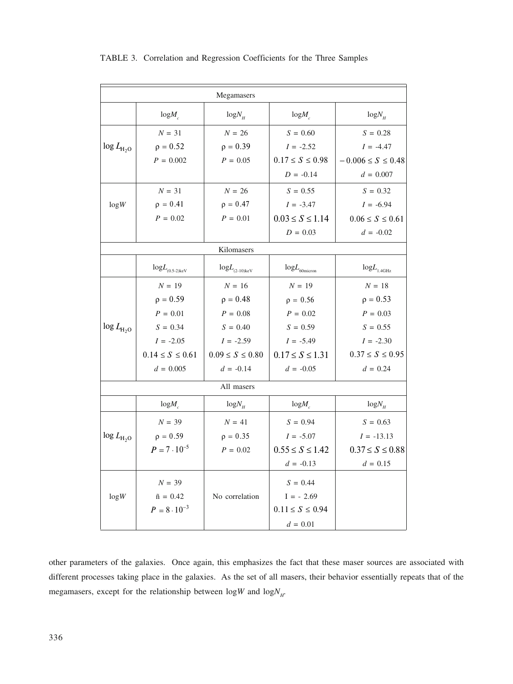| Megamasers          |                                      |                              |                            |                          |  |  |  |  |  |  |
|---------------------|--------------------------------------|------------------------------|----------------------------|--------------------------|--|--|--|--|--|--|
|                     | $log M_c$                            | $log N_{\mu}$                | $log M_c$                  | $log N_H$                |  |  |  |  |  |  |
|                     | $N = 31$                             | $N = 26$                     | $S = 0.60$                 | $S = 0.28$               |  |  |  |  |  |  |
| $\log L_{\rm H_2O}$ | $\rho = 0.52$                        | $\rho = 0.39$                | $I = -2.52$                | $I = -4.47$              |  |  |  |  |  |  |
|                     | $P = 0.002$                          | $P = 0.05$                   | $0.17 \le S \le 0.98$      | $-0.006 \le S \le 0.48$  |  |  |  |  |  |  |
|                     |                                      |                              | $D = -0.14$                | $d = 0.007$              |  |  |  |  |  |  |
|                     | $N = 31$                             | $N = 26$                     | $S = 0.55$                 | $S = 0.32$               |  |  |  |  |  |  |
| log W               | $\rho = 0.41$                        | $\rho = 0.47$                | $I = -3.47$                | $I = -6.94$              |  |  |  |  |  |  |
|                     | $P = 0.02$                           | $P = 0.01$                   | $0.03 \le S \le 1.14$      | $0.06 \le S \le 0.61$    |  |  |  |  |  |  |
|                     |                                      |                              | $D = 0.03$                 | $d = -0.02$              |  |  |  |  |  |  |
|                     |                                      | Kilomasers                   |                            |                          |  |  |  |  |  |  |
|                     | ${\rm log}L_{\rm (0.5\mbox{-}2)keV}$ | $log L$ <sub>(2-10)keV</sub> | $logL$ <sub>60micron</sub> | $logL$ <sub>1.4GHz</sub> |  |  |  |  |  |  |
|                     | $N = 19$                             | $N = 16$                     | $N = 19$                   | $N = 18$                 |  |  |  |  |  |  |
|                     | $\rho = 0.59$                        | $\rho = 0.48$                | $\rho = 0.56$              | $\rho = 0.53$            |  |  |  |  |  |  |
|                     | $P = 0.01$                           | $P = 0.08$                   | $P = 0.02$                 | $P = 0.03$               |  |  |  |  |  |  |
| $\log L_{\rm H_2O}$ | $S = 0.34$                           | $S = 0.40$                   | $S = 0.59$                 | $S = 0.55$               |  |  |  |  |  |  |
|                     | $I = -2.05$                          | $I = -2.59$                  | $I = -5.49$                | $I = -2.30$              |  |  |  |  |  |  |
|                     | $0.14 \le S \le 0.61$                | $0.09 \le S \le 0.80$        | $0.17 \le S \le 1.31$      | $0.37 \le S \le 0.95$    |  |  |  |  |  |  |
|                     | $d = 0.005$                          | $d = -0.14$                  | $d = -0.05$                | $d = 0.24$               |  |  |  |  |  |  |
|                     |                                      | All masers                   |                            |                          |  |  |  |  |  |  |
|                     | $log M_c$                            | $log N_{H}$                  | $log M_c$                  | $log N_H$                |  |  |  |  |  |  |
|                     | $N = 39$                             | $N = 41$                     | $S = 0.94$                 | $S = 0.63$               |  |  |  |  |  |  |
| $\log L_{\rm H_2O}$ | $\rho = 0.59$                        | $\rho = 0.35$                | $I = -5.07$                | $I = -13.13$             |  |  |  |  |  |  |
|                     | $P = 7 \cdot 10^{-5}$                | $P = 0.02$                   | $0.55 \le S \le 1.42$      | $0.37 \le S \le 0.88$    |  |  |  |  |  |  |
|                     |                                      |                              | $d = -0.13$                | $d = 0.15$               |  |  |  |  |  |  |
|                     | ${\cal N}=39$                        |                              | $S = 0.44$                 |                          |  |  |  |  |  |  |
| log W               | $\tilde{n} = 0.42$                   | No correlation               | $I = -2.69$                |                          |  |  |  |  |  |  |
|                     | $P = 8 \cdot 10^{-3}$                |                              | $0.11 \le S \le 0.94$      |                          |  |  |  |  |  |  |
|                     |                                      |                              | $d = 0.01$                 |                          |  |  |  |  |  |  |

TABLE 3. Correlation and Regression Coefficients for the Three Samples

other parameters of the galaxies. Once again, this emphasizes the fact that these maser sources are associated with different processes taking place in the galaxies. As the set of all masers, their behavior essentially repeats that of the megamasers, except for the relationship between  $\log W$  and  $\log N_H$ .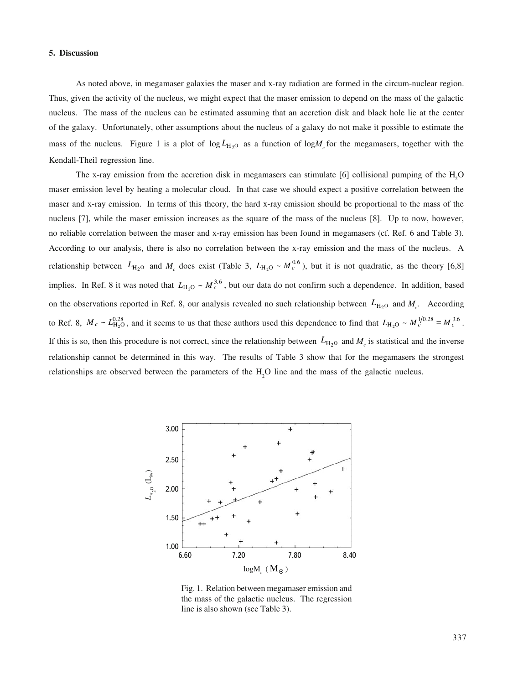#### **5. Discussion**

As noted above, in megamaser galaxies the maser and x-ray radiation are formed in the circum-nuclear region. Thus, given the activity of the nucleus, we might expect that the maser emission to depend on the mass of the galactic nucleus. The mass of the nucleus can be estimated assuming that an accretion disk and black hole lie at the center of the galaxy. Unfortunately, other assumptions about the nucleus of a galaxy do not make it possible to estimate the mass of the nucleus. Figure 1 is a plot of  $\log L_{H_2O}$  as a function of  $\log M_c$  for the megamasers, together with the Kendall-Theil regression line.

The x-ray emission from the accretion disk in megamasers can stimulate [6] collisional pumping of the  $H_2O$ maser emission level by heating a molecular cloud. In that case we should expect a positive correlation between the maser and x-ray emission. In terms of this theory, the hard x-ray emission should be proportional to the mass of the nucleus [7], while the maser emission increases as the square of the mass of the nucleus [8]. Up to now, however, no reliable correlation between the maser and x-ray emission has been found in megamasers (cf. Ref. 6 and Table 3). According to our analysis, there is also no correlation between the x-ray emission and the mass of the nucleus. A relationship between  $L_{\text{H}_2\text{O}}$  and  $M_c$  does exist (Table 3,  $L_{\text{H}_2\text{O}} \sim M_c^{0.6}$ ), but it is not quadratic, as the theory [6,8] implies. In Ref. 8 it was noted that  $L_{H_2O} \sim M_c^{3.6}$ , but our data do not confirm such a dependence. In addition, based on the observations reported in Ref. 8, our analysis revealed no such relationship between  $L_{\text{H}_2\text{O}}$  and  $M_c$ . According to Ref. 8,  $M_c \sim L_{\text{H}_2\text{O}}^{0.28}$ , and it seems to us that these authors used this dependence to find that  $L_{\text{H}_2\text{O}} \sim M_c^{1/0.28} = M_c^{3.6}$ . If this is so, then this procedure is not correct, since the relationship between  $L_{H_2O}$  and  $M_c$  is statistical and the inverse relationship cannot be determined in this way. The results of Table 3 show that for the megamasers the strongest relationships are observed between the parameters of the  $H_2O$  line and the mass of the galactic nucleus.



Fig. 1. Relation between megamaser emission and the mass of the galactic nucleus. The regression line is also shown (see Table 3).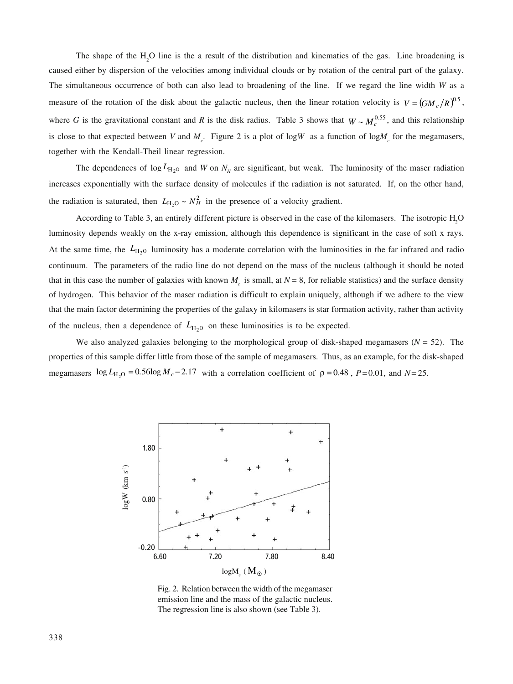The shape of the  $H_2O$  line is the a result of the distribution and kinematics of the gas. Line broadening is caused either by dispersion of the velocities among individual clouds or by rotation of the central part of the galaxy. The simultaneous occurrence of both can also lead to broadening of the line. If we regard the line width *W* as a measure of the rotation of the disk about the galactic nucleus, then the linear rotation velocity is  $V = (GM_c/R)^{0.5}$ , where *G* is the gravitational constant and *R* is the disk radius. Table 3 shows that  $W \sim M_c^{0.55}$ , and this relationship is close to that expected between *V* and  $M_c$ . Figure 2 is a plot of log*W* as a function of log $M_c$  for the megamasers, together with the Kendall-Theil linear regression.

The dependences of  $\log L_{\text{H}_2\text{O}}$  and *W* on  $N_H$  are significant, but weak. The luminosity of the maser radiation increases exponentially with the surface density of molecules if the radiation is not saturated. If, on the other hand, the radiation is saturated, then  $L_{\text{H}_2\text{O}} \sim N_H^2$  in the presence of a velocity gradient.

According to Table 3, an entirely different picture is observed in the case of the kilomasers. The isotropic H2O luminosity depends weakly on the x-ray emission, although this dependence is significant in the case of soft x rays. At the same time, the  $L_{H_2O}$  luminosity has a moderate correlation with the luminosities in the far infrared and radio continuum. The parameters of the radio line do not depend on the mass of the nucleus (although it should be noted that in this case the number of galaxies with known  $M_c$  is small, at  $N = 8$ , for reliable statistics) and the surface density of hydrogen. This behavior of the maser radiation is difficult to explain uniquely, although if we adhere to the view that the main factor determining the properties of the galaxy in kilomasers is star formation activity, rather than activity of the nucleus, then a dependence of  $L_{H<sub>2</sub>0}$  on these luminosities is to be expected.

We also analyzed galaxies belonging to the morphological group of disk-shaped megamasers  $(N = 52)$ . The properties of this sample differ little from those of the sample of megamasers. Thus, as an example, for the disk-shaped megamasers  $\log L_{\text{H}_2\text{O}} = 0.56 \log M_c - 2.17$  with a correlation coefficient of  $\rho = 0.48$ ,  $P = 0.01$ , and  $N = 25$ .



Fig. 2. Relation between the width of the megamaser emission line and the mass of the galactic nucleus. The regression line is also shown (see Table 3).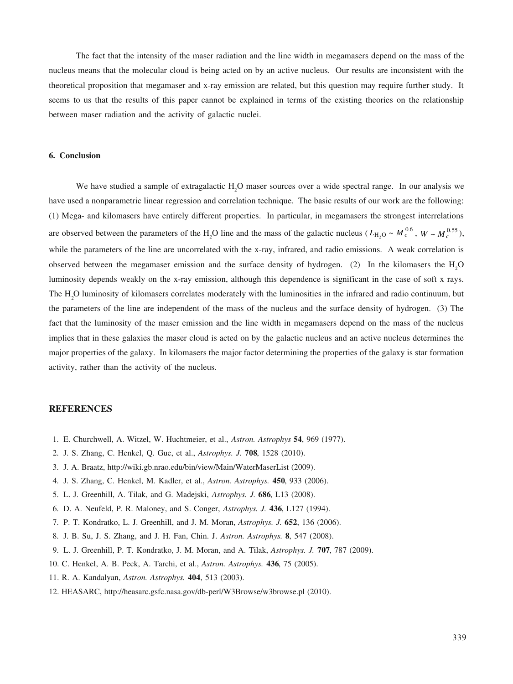The fact that the intensity of the maser radiation and the line width in megamasers depend on the mass of the nucleus means that the molecular cloud is being acted on by an active nucleus. Our results are inconsistent with the theoretical proposition that megamaser and x-ray emission are related, but this question may require further study. It seems to us that the results of this paper cannot be explained in terms of the existing theories on the relationship between maser radiation and the activity of galactic nuclei.

### **6. Conclusion**

We have studied a sample of extragalactic H<sub>2</sub>O maser sources over a wide spectral range. In our analysis we have used a nonparametric linear regression and correlation technique. The basic results of our work are the following: (1) Mega- and kilomasers have entirely different properties. In particular, in megamasers the strongest interrelations are observed between the parameters of the H<sub>2</sub>O line and the mass of the galactic nucleus ( $L_{\text{H}_2\text{O}} \sim M_c^{0.6}$ ,  $W \sim M_c^{0.55}$ ), while the parameters of the line are uncorrelated with the x-ray, infrared, and radio emissions. A weak correlation is observed between the megamaser emission and the surface density of hydrogen. (2) In the kilomasers the  $H_2O$ luminosity depends weakly on the x-ray emission, although this dependence is significant in the case of soft x rays. The  $H_2O$  luminosity of kilomasers correlates moderately with the luminosities in the infrared and radio continuum, but the parameters of the line are independent of the mass of the nucleus and the surface density of hydrogen. (3) The fact that the luminosity of the maser emission and the line width in megamasers depend on the mass of the nucleus implies that in these galaxies the maser cloud is acted on by the galactic nucleus and an active nucleus determines the major properties of the galaxy. In kilomasers the major factor determining the properties of the galaxy is star formation activity, rather than the activity of the nucleus.

# **REFERENCES**

- 1. E. Churchwell, A. Witzel, W. Huchtmeier, et al., *Astron. Astrophys* **54**, 969 (1977).
- 2. J. S. Zhang, C. Henkel, Q. Gue, et al., *Astrophys. J.* **708**, 1528 (2010).
- 3. J. A. Braatz, http://wiki.gb.nrao.edu/bin/view/Main/WaterMaserList (2009).
- 4. J. S. Zhang, C. Henkel, M. Kadler, et al., *Astron. Astrophys.* **450**, 933 (2006).
- 5. L. J. Greenhill, A. Tilak, and G. Madejski, *Astrophys. J.* **686**, L13 (2008).
- 6. D. A. Neufeld, P. R. Maloney, and S. Conger, *Astrophys. J.* **436**, L127 (1994).
- 7. P. T. Kondratko, L. J. Greenhill, and J. M. Moran, *Astrophys. J.* **652**, 136 (2006).
- 8. J. B. Su, J. S. Zhang, and J. H. Fan, Chin. J. *Astron. Astrophys.* **8**, 547 (2008).
- 9. L. J. Greenhill, P. T. Kondratko, J. M. Moran, and A. Tilak, *Astrophys. J.* **707**, 787 (2009).
- 10. C. Henkel, A. B. Peck, A. Tarchi, et al., *Astron. Astrophys.* **436**, 75 (2005).
- 11. R. A. Kandalyan, *Astron. Astrophys.* **404**, 513 (2003).
- 12. HEASARC, http://heasarc.gsfc.nasa.gov/db-perl/W3Browse/w3browse.pl (2010).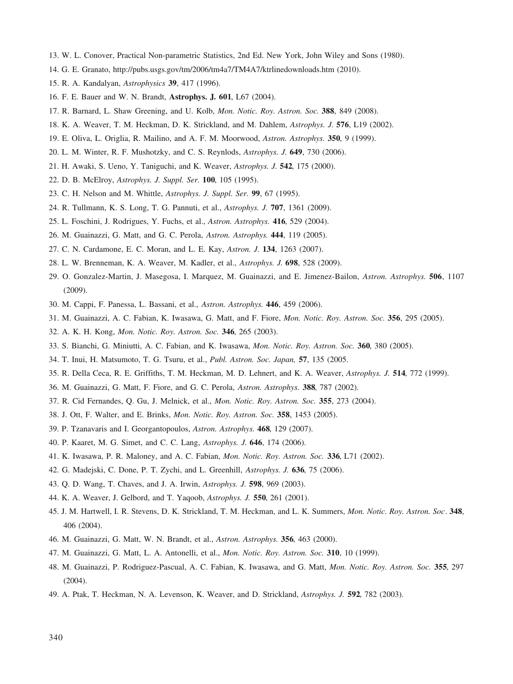- 13. W. L. Conover, Practical Non-parametric Statistics, 2nd Ed. New York, John Wiley and Sons (1980).
- 14. G. E. Granato, http://pubs.usgs.gov/tm/2006/tm4a7/TM4A7/ktrlinedownloads.htm (2010).
- 15. R. A. Kandalyan, *Astrophysics* **39**, 417 (1996).
- 16. F. E. Bauer and W. N. Brandt, **Astrophys. J. 601**, L67 (2004).
- 17. R. Barnard, L. Shaw Greening, and U. Kolb, *Mon. Notic. Roy. Astron. Soc.* **388**, 849 (2008).
- 18. K. A. Weaver, T. M. Heckman, D. K. Strickland, and M. Dahlem, *Astrophys. J.* **576**, L19 (2002).
- 19. E. Oliva, L. Origlia, R. Mailino, and A. F. M. Moorwood, *Astron. Astrophys.* **350**, 9 (1999).
- 20. L. M. Winter, R. F. Mushotzky, and C. S. Reynlods, *Astrophys. J.* **649**, 730 (2006).
- 21. H. Awaki, S. Ueno, Y. Taniguchi, and K. Weaver, *Astrophys. J.* **542**, 175 (2000).
- 22. D. B. McElroy, *Astrophys. J. Suppl. Ser.* **100**, 105 (1995).
- 23. C. H. Nelson and M. Whittle, *Astrophys. J. Suppl. Ser.* **99**, 67 (1995).
- 24. R. Tullmann, K. S. Long, T. G. Pannuti, et al., *Astrophys. J.* **707**, 1361 (2009).
- 25. L. Foschini, J. Rodrigues, Y. Fuchs, et al., *Astron. Astrophys.* **416**, 529 (2004).
- 26. M. Guainazzi, G. Matt, and G. C. Perola, *Astron. Astrophys.* **444**, 119 (2005).
- 27. C. N. Cardamone, E. C. Moran, and L. E. Kay, *Astron. J.* **134**, 1263 (2007).
- 28. L. W. Brenneman, K. A. Weaver, M. Kadler, et al., *Astrophys. J.* **698**, 528 (2009).
- 29. O. Gonzalez-Martin, J. Masegosa, I. Marquez, M. Guainazzi, and E. Jimenez-Bailon, *Astron. Astrophys.* **506**, 1107 (2009).
- 30. M. Cappi, F. Panessa, L. Bassani, et al., *Astron. Astrophys.* **446**, 459 (2006).
- 31. M. Guainazzi, A. C. Fabian, K. Iwasawa, G. Matt, and F. Fiore, *Mon. Notic. Roy. Astron. Soc.* **356**, 295 (2005).
- 32. A. K. H. Kong, *Mon. Notic. Roy. Astron. Soc.* **346**, 265 (2003).
- 33. S. Bianchi, G. Miniutti, A. C. Fabian, and K. Iwasawa, *Mon. Notic. Roy. Astron. Soc.* **360**, 380 (2005).
- 34. T. Inui, H. Matsumoto, T. G. Tsuru, et al., *Publ. Astron. Soc. Japan,* **57**, 135 (2005.
- 35. R. Della Ceca, R. E. Griffiths, T. M. Heckman, M. D. Lehnert, and K. A. Weaver, *Astrophys. J.* **514**, 772 (1999).
- 36. M. Guainazzi, G. Matt, F. Fiore, and G. C. Perola, *Astron. Astrophys.* **388**, 787 (2002).
- 37. R. Cid Fernandes, Q. Gu, J. Melnick, et al., *Mon. Notic. Roy. Astron. Soc.* **355**, 273 (2004).
- 38. J. Ott, F. Walter, and E. Brinks, *Mon. Notic. Roy. Astron. Soc.* **358**, 1453 (2005).
- 39. P. Tzanavaris and I. Georgantopoulos, *Astron. Astrophys.* **468**, 129 (2007).
- 40. P. Kaaret, M. G. Simet, and C. C. Lang, *Astrophys. J.* **646**, 174 (2006).
- 41. K. Iwasawa, P. R. Maloney, and A. C. Fabian, *Mon. Notic. Roy. Astron. Soc.* **336**, L71 (2002).
- 42. G. Madejski, C. Done, P. T. Zychi, and L. Greenhill, *Astrophys. J.* **636**, 75 (2006).
- 43. Q. D. Wang, T. Chaves, and J. A. Irwin, *Astrophys. J.* **598**, 969 (2003).
- 44. K. A. Weaver, J. Gelbord, and T. Yaqoob, *Astrophys. J.* **550**, 261 (2001).
- 45. J. M. Hartwell, I. R. Stevens, D. K. Strickland, T. M. Heckman, and L. K. Summers, *Mon. Notic. Roy. Astron. Soc*. **348**, 406 (2004).
- 46. M. Guainazzi, G. Matt, W. N. Brandt, et al., *Astron. Astrophys.* **356**, 463 (2000).
- 47. M. Guainazzi, G. Matt, L. A. Antonelli, et al., *Mon. Notic. Roy. Astron. Soc.* **310**, 10 (1999).
- 48. M. Guainazzi, P. Rodriguez-Pascual, A. C. Fabian, K. Iwasawa, and G. Matt, *Mon. Notic. Roy. Astron. Soc.* **355**, 297 (2004).
- 49. A. Ptak, T. Heckman, N. A. Levenson, K. Weaver, and D. Strickland, *Astrophys. J.* **592**, 782 (2003).